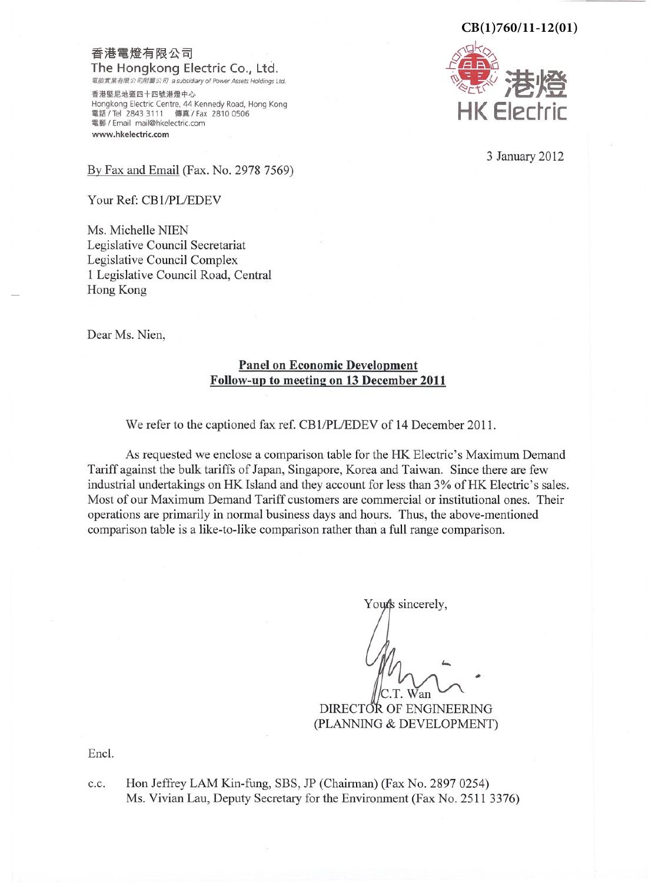## $CB(1)760/11-12(01)$

## 香港電燈有限公司 The Hongkong Electric Co., Ltd.

電能實業有限公司附屬公司 a subsidiary of Power Assets Holdings Ltd.

香港堅尼地道四十四號港燈中心 Hongkong Electric Centre, 44 Kennedy Road, Hong Kong 電話/Tel 2843 3111 傳真/Fax 2810 0506<br>電郵/Email mail@hkelectric.com www.hkelectric.com



3 January 2012

By Fax and Email (Fax. No. 2978 7569)

Your Ref: CB1/PL/EDEV

Ms. Michelle NIEN Legislative Council Secretariat Legislative Council Complex 1 Legislative Council Road, Central Hong Kong

Dear Ms. Nien,

# **Panel on Economic Development** Follow-up to meeting on 13 December 2011

We refer to the captioned fax ref. CB1/PL/EDEV of 14 December 2011.

As requested we enclose a comparison table for the HK Electric's Maximum Demand Tariff against the bulk tariffs of Japan, Singapore, Korea and Taiwan. Since there are few industrial undertakings on HK Island and they account for less than 3% of HK Electric's sales. Most of our Maximum Demand Tariff customers are commercial or institutional ones. Their operations are primarily in normal business days and hours. Thus, the above-mentioned comparison table is a like-to-like comparison rather than a full range comparison.

Your's sincerely,

T. Wan

DIRECTOR OF ENGINEERING (PLANNING & DEVELOPMENT)

Encl.

Hon Jeffrey LAM Kin-fung, SBS, JP (Chairman) (Fax No. 2897 0254) c.c. Ms. Vivian Lau, Deputy Secretary for the Environment (Fax No. 2511 3376)